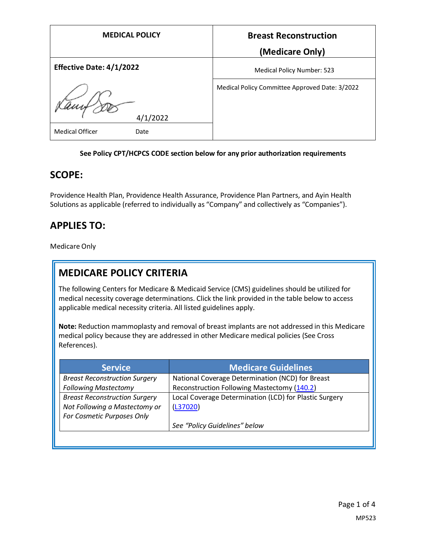| <b>MEDICAL POLICY</b>           | <b>Breast Reconstruction</b>                   |
|---------------------------------|------------------------------------------------|
|                                 | (Medicare Only)                                |
| <b>Effective Date: 4/1/2022</b> | <b>Medical Policy Number: 523</b>              |
| 4/1/2022                        | Medical Policy Committee Approved Date: 3/2022 |
| <b>Medical Officer</b><br>Date  |                                                |

#### **See Policy CPT/HCPCS CODE section below for any prior authorization requirements**

### **SCOPE:**

Providence Health Plan, Providence Health Assurance, Providence Plan Partners, and Ayin Health Solutions as applicable (referred to individually as "Company" and collectively as "Companies").

## **APPLIES TO:**

Medicare Only

# **MEDICARE POLICY CRITERIA**

The following Centers for Medicare & Medicaid Service (CMS) guidelines should be utilized for medical necessity coverage determinations. Click the link provided in the table below to access applicable medical necessity criteria. All listed guidelines apply.

**Note:** Reduction mammoplasty and removal of breast implants are not addressed in this Medicare medical policy because they are addressed in other Medicare medical policies (See Cross References).

| <b>Service</b>                       | <b>Medicare Guidelines</b>                             |
|--------------------------------------|--------------------------------------------------------|
| <b>Breast Reconstruction Surgery</b> | National Coverage Determination (NCD) for Breast       |
| <b>Following Mastectomy</b>          | Reconstruction Following Mastectomy (140.2)            |
| <b>Breast Reconstruction Surgery</b> | Local Coverage Determination (LCD) for Plastic Surgery |
| Not Following a Mastectomy or        | (L37020)                                               |
| For Cosmetic Purposes Only           |                                                        |
|                                      | See "Policy Guidelines" below                          |
|                                      |                                                        |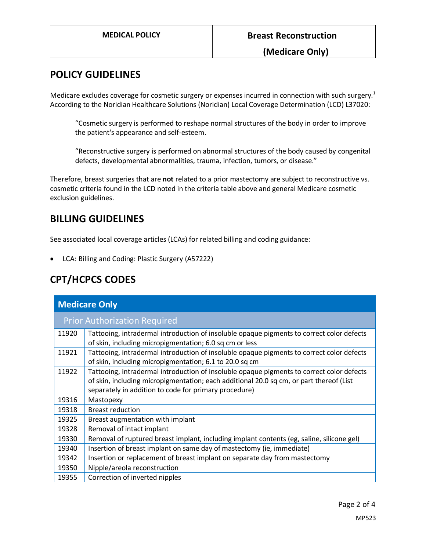**(Medicare Only)**

### **POLICY GUIDELINES**

Medicare excludes coverage for cosmetic surgery or expenses incurred in connection with such surgery.<sup>1</sup> According to the Noridian Healthcare Solutions (Noridian) Local Coverage Determination (LCD) L37020:

"Cosmetic surgery is performed to reshape normal structures of the body in order to improve the patient's appearance and self-esteem.

"Reconstructive surgery is performed on abnormal structures of the body caused by congenital defects, developmental abnormalities, trauma, infection, tumors, or disease."

Therefore, breast surgeries that are **not** related to a prior mastectomy are subject to reconstructive vs. cosmetic criteria found in the LCD noted in the criteria table above and general Medicare cosmetic exclusion guidelines.

### **BILLING GUIDELINES**

See associated local coverage articles (LCAs) for related billing and coding guidance:

• LCA: Billing and Coding: Plastic Surgery (A57222)

## **CPT/HCPCS CODES**

| <b>Medicare Only</b>                |                                                                                                                                                                                                                                               |  |
|-------------------------------------|-----------------------------------------------------------------------------------------------------------------------------------------------------------------------------------------------------------------------------------------------|--|
| <b>Prior Authorization Required</b> |                                                                                                                                                                                                                                               |  |
| 11920                               | Tattooing, intradermal introduction of insoluble opaque pigments to correct color defects<br>of skin, including micropigmentation; 6.0 sq cm or less                                                                                          |  |
| 11921                               | Tattooing, intradermal introduction of insoluble opaque pigments to correct color defects<br>of skin, including micropigmentation; 6.1 to 20.0 sq cm                                                                                          |  |
| 11922                               | Tattooing, intradermal introduction of insoluble opaque pigments to correct color defects<br>of skin, including micropigmentation; each additional 20.0 sq cm, or part thereof (List<br>separately in addition to code for primary procedure) |  |
| 19316                               | Mastopexy                                                                                                                                                                                                                                     |  |
| 19318                               | <b>Breast reduction</b>                                                                                                                                                                                                                       |  |
| 19325                               | Breast augmentation with implant                                                                                                                                                                                                              |  |
| 19328                               | Removal of intact implant                                                                                                                                                                                                                     |  |
| 19330                               | Removal of ruptured breast implant, including implant contents (eg, saline, silicone gel)                                                                                                                                                     |  |
| 19340                               | Insertion of breast implant on same day of mastectomy (ie, immediate)                                                                                                                                                                         |  |
| 19342                               | Insertion or replacement of breast implant on separate day from mastectomy                                                                                                                                                                    |  |
| 19350                               | Nipple/areola reconstruction                                                                                                                                                                                                                  |  |
| 19355                               | Correction of inverted nipples                                                                                                                                                                                                                |  |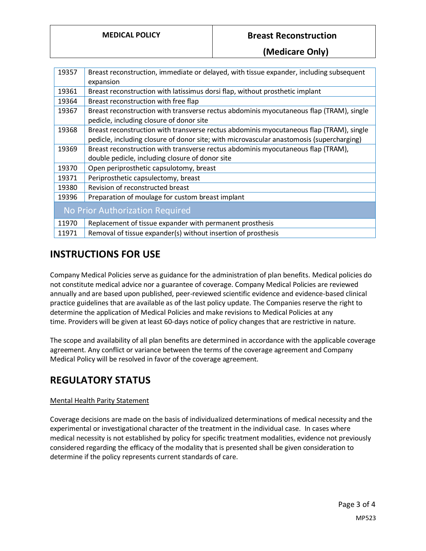#### **MEDICAL POLICY Breast Reconstruction**

**(Medicare Only)**

| 19357                           | Breast reconstruction, immediate or delayed, with tissue expander, including subsequent  |
|---------------------------------|------------------------------------------------------------------------------------------|
|                                 | expansion                                                                                |
| 19361                           | Breast reconstruction with latissimus dorsi flap, without prosthetic implant             |
| 19364                           | Breast reconstruction with free flap                                                     |
| 19367                           | Breast reconstruction with transverse rectus abdominis myocutaneous flap (TRAM), single  |
|                                 | pedicle, including closure of donor site                                                 |
| 19368                           | Breast reconstruction with transverse rectus abdominis myocutaneous flap (TRAM), single  |
|                                 | pedicle, including closure of donor site; with microvascular anastomosis (supercharging) |
| 19369                           | Breast reconstruction with transverse rectus abdominis myocutaneous flap (TRAM),         |
|                                 | double pedicle, including closure of donor site                                          |
| 19370                           | Open periprosthetic capsulotomy, breast                                                  |
| 19371                           | Periprosthetic capsulectomy, breast                                                      |
| 19380                           | Revision of reconstructed breast                                                         |
| 19396                           | Preparation of moulage for custom breast implant                                         |
| No Prior Authorization Required |                                                                                          |
| 11970                           | Replacement of tissue expander with permanent prosthesis                                 |
| 11971                           | Removal of tissue expander(s) without insertion of prosthesis                            |

### **INSTRUCTIONS FOR USE**

Company Medical Policies serve as guidance for the administration of plan benefits. Medical policies do not constitute medical advice nor a guarantee of coverage. Company Medical Policies are reviewed annually and are based upon published, peer-reviewed scientific evidence and evidence-based clinical practice guidelines that are available as of the last policy update. The Companies reserve the right to determine the application of Medical Policies and make revisions to Medical Policies at any time. Providers will be given at least 60-days notice of policy changes that are restrictive in nature.

The scope and availability of all plan benefits are determined in accordance with the applicable coverage agreement. Any conflict or variance between the terms of the coverage agreement and Company Medical Policy will be resolved in favor of the coverage agreement.

## **REGULATORY STATUS**

#### Mental Health Parity Statement

Coverage decisions are made on the basis of individualized determinations of medical necessity and the experimental or investigational character of the treatment in the individual case. In cases where medical necessity is not established by policy for specific treatment modalities, evidence not previously considered regarding the efficacy of the modality that is presented shall be given consideration to determine if the policy represents current standards of care.